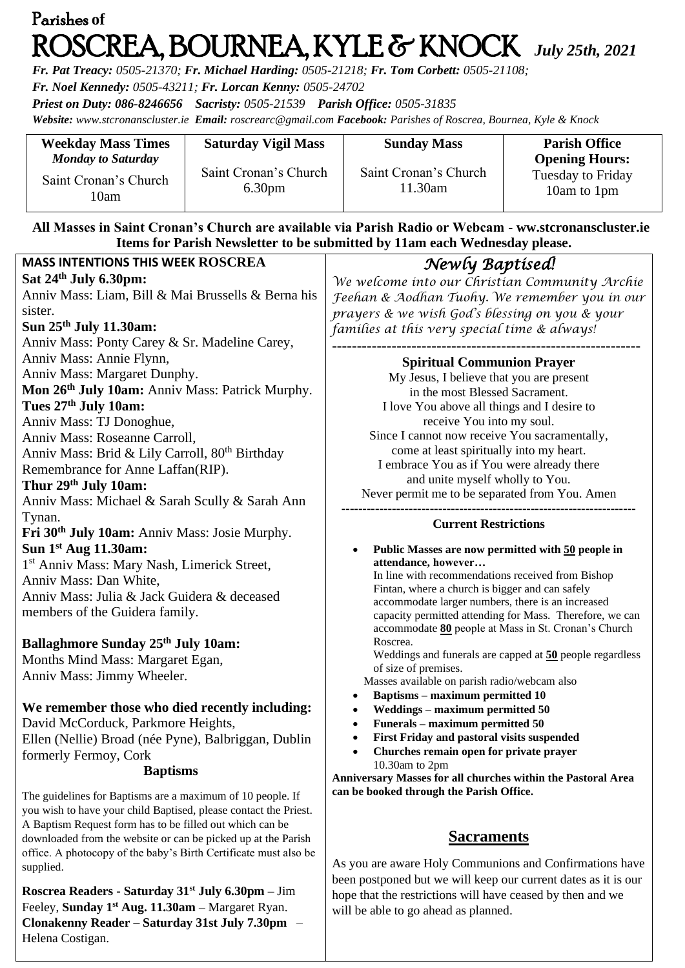# Parishes **of**  ROSCREA, BOURNEA, KYLE & KNOCK *July 25th, <sup>2021</sup>*

*Fr. Pat Treacy: 0505-21370; Fr. Michael Harding: 0505-21218; Fr. Tom Corbett: 0505-21108;* 

*Fr. Noel Kennedy: 0505-43211; Fr. Lorcan Kenny: 0505-24702*

**Clonakenny Reader – Saturday 31st July 7.30pm** –

Helena Costigan.

*Priest on Duty: 086-8246656 Sacristy: 0505-21539 Parish Office: 0505-31835* 

*Website: [www.stcronanscluster.ie](http://www.stcronanscluster.ie/) Email: [roscrearc@gmail.com](mailto:roscrearc@gmail.com) Facebook: Parishes of Roscrea, Bournea, Kyle & Knock* 

| <b>Weekday Mass Times</b>                                   | <b>Saturday Vigil Mass</b>                  | <b>Sunday Mass</b>               | <b>Parish Office</b>                                             |
|-------------------------------------------------------------|---------------------------------------------|----------------------------------|------------------------------------------------------------------|
| <b>Monday to Saturday</b><br>Saint Cronan's Church<br>l 0am | Saint Cronan's Church<br>6.30 <sub>pm</sub> | Saint Cronan's Church<br>11.30am | <b>Opening Hours:</b><br><b>Tuesday to Friday</b><br>10am to 1pm |

### **All Masses in Saint Cronan's Church are available via Parish Radio or Webcam - ww.stcronanscluster.ie Items for Parish Newsletter to be submitted by 11am each Wednesday please.**

| <b>MASS INTENTIONS THIS WEEK ROSCREA</b>                                                                                          | Newly Baptised!                                                                                               |  |
|-----------------------------------------------------------------------------------------------------------------------------------|---------------------------------------------------------------------------------------------------------------|--|
| Sat 24th July 6.30pm:                                                                                                             | We welcome into our Christian Community Archie                                                                |  |
| Anniv Mass: Liam, Bill & Mai Brussells & Berna his                                                                                | Feehan & Aodhan Tuohy. We remember you in our                                                                 |  |
| sister.                                                                                                                           | prayers & we wish God's blessing on you & your                                                                |  |
| Sun 25 <sup>th</sup> July 11.30am:                                                                                                | families at this very special time & always!                                                                  |  |
| Anniv Mass: Ponty Carey & Sr. Madeline Carey,                                                                                     |                                                                                                               |  |
| Anniv Mass: Annie Flynn,                                                                                                          | <b>Spiritual Communion Prayer</b>                                                                             |  |
| Anniv Mass: Margaret Dunphy.                                                                                                      | My Jesus, I believe that you are present                                                                      |  |
| Mon 26 <sup>th</sup> July 10am: Anniv Mass: Patrick Murphy.                                                                       | in the most Blessed Sacrament.                                                                                |  |
| Tues 27 <sup>th</sup> July 10am:                                                                                                  | I love You above all things and I desire to                                                                   |  |
| Anniv Mass: TJ Donoghue,                                                                                                          | receive You into my soul.                                                                                     |  |
| Anniv Mass: Roseanne Carroll,                                                                                                     | Since I cannot now receive You sacramentally,                                                                 |  |
| Anniv Mass: Brid & Lily Carroll, 80 <sup>th</sup> Birthday                                                                        | come at least spiritually into my heart.                                                                      |  |
| Remembrance for Anne Laffan(RIP).                                                                                                 | I embrace You as if You were already there                                                                    |  |
| Thur 29 <sup>th</sup> July 10am:                                                                                                  | and unite myself wholly to You.                                                                               |  |
| Anniv Mass: Michael & Sarah Scully & Sarah Ann                                                                                    | Never permit me to be separated from You. Amen                                                                |  |
| Tynan.                                                                                                                            | <b>Current Restrictions</b>                                                                                   |  |
| Fri 30th July 10am: Anniv Mass: Josie Murphy.                                                                                     |                                                                                                               |  |
| Sun 1 <sup>st</sup> Aug 11.30am:                                                                                                  | Public Masses are now permitted with 50 people in                                                             |  |
| 1 <sup>st</sup> Anniv Mass: Mary Nash, Limerick Street,                                                                           | attendance, however                                                                                           |  |
| Anniv Mass: Dan White,                                                                                                            | In line with recommendations received from Bishop                                                             |  |
| Anniv Mass: Julia & Jack Guidera & deceased                                                                                       | Fintan, where a church is bigger and can safely                                                               |  |
| members of the Guidera family.                                                                                                    | accommodate larger numbers, there is an increased<br>capacity permitted attending for Mass. Therefore, we can |  |
|                                                                                                                                   | accommodate 80 people at Mass in St. Cronan's Church                                                          |  |
| <b>Ballaghmore Sunday 25th July 10am:</b>                                                                                         | Roscrea.                                                                                                      |  |
| Months Mind Mass: Margaret Egan,                                                                                                  | Weddings and funerals are capped at 50 people regardless                                                      |  |
| Anniv Mass: Jimmy Wheeler.                                                                                                        | of size of premises.                                                                                          |  |
|                                                                                                                                   | Masses available on parish radio/webcam also<br><b>Baptisms - maximum permitted 10</b>                        |  |
| We remember those who died recently including:                                                                                    | Weddings - maximum permitted 50                                                                               |  |
| David McCorduck, Parkmore Heights,                                                                                                | Funerals – maximum permitted 50                                                                               |  |
| Ellen (Nellie) Broad (née Pyne), Balbriggan, Dublin                                                                               | First Friday and pastoral visits suspended                                                                    |  |
| formerly Fermoy, Cork                                                                                                             | Churches remain open for private prayer                                                                       |  |
| <b>Baptisms</b>                                                                                                                   | 10.30am to 2pm                                                                                                |  |
|                                                                                                                                   | Anniversary Masses for all churches within the Pastoral Area                                                  |  |
| The guidelines for Baptisms are a maximum of 10 people. If                                                                        | can be booked through the Parish Office.                                                                      |  |
| you wish to have your child Baptised, please contact the Priest.                                                                  |                                                                                                               |  |
| A Baptism Request form has to be filled out which can be                                                                          | <b>Sacraments</b>                                                                                             |  |
| downloaded from the website or can be picked up at the Parish<br>office. A photocopy of the baby's Birth Certificate must also be |                                                                                                               |  |
| supplied.                                                                                                                         | As you are aware Holy Communions and Confirmations have                                                       |  |
|                                                                                                                                   | been postponed but we will keep our current dates as it is our                                                |  |
| Roscrea Readers - Saturday 31 <sup>st</sup> July 6.30pm – Jim                                                                     | hope that the restrictions will have ceased by then and we                                                    |  |
| Feeley, Sunday 1 <sup>st</sup> Aug. 11.30am - Margaret Ryan.                                                                      | will be able to go ahead as planned.                                                                          |  |